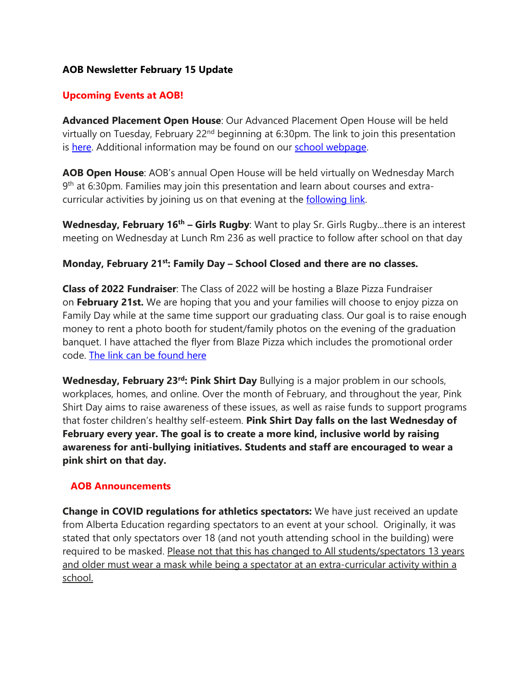## **AOB Newsletter February 15 Update**

## **Upcoming Events at AOB!**

**Advanced Placement Open House**: Our Advanced Placement Open House will be held virtually on Tuesday, February  $22<sup>nd</sup>$  beginning at 6:30pm. The link to join this presentation is [here.](https://can01.safelinks.protection.outlook.com/ap/t-59584e83/?url=https%3A%2F%2Fteams.microsoft.com%2Fl%2Fmeetup-join%2F19%253ameeting_MTg0YWIwOTAtNjk1Yi00ZWI4LWJhMjUtM2JiODk0MzQwNjIy%2540thread.v2%2F0%3Fcontext%3D%257b%2522Tid%2522%253a%2522b18d9f6f-0743-460d-a19b-0b3297eeeb89%2522%252c%2522Oid%2522%253a%2522ef4b9099-d2e3-4403-bfd2-35f6c8109108%2522%252c%2522IsBroadcastMeeting%2522%253atrue%257d%26btype%3Da%26role%3Da&data=04%7C01%7Csheryl.ogonoski%40ecsd.net%7Cdf7bef8e1b564b1102c208d9f0a83e9e%7Cb18d9f6f0743460da19b0b3297eeeb89%7C0%7C0%7C637805428372863207%7CUnknown%7CTWFpbGZsb3d8eyJWIjoiMC4wLjAwMDAiLCJQIjoiV2luMzIiLCJBTiI6Ik1haWwiLCJXVCI6Mn0%3D%7C3000&sdata=%2FRxl76uk7EgkQQfQtq9EJol7CCs9%2FDj15g4VdSS3na0%3D&reserved=0) Additional information may be found on our school [webpage.](https://can01.safelinks.protection.outlook.com/?url=https%3A%2F%2Fwww.ecsd.net%2F8402%2Fpage%2F2480%2Fadvanced-placement&data=04%7C01%7Csheryl.ogonoski%40ecsd.net%7Cdf7bef8e1b564b1102c208d9f0a83e9e%7Cb18d9f6f0743460da19b0b3297eeeb89%7C0%7C0%7C637805428372863207%7CUnknown%7CTWFpbGZsb3d8eyJWIjoiMC4wLjAwMDAiLCJQIjoiV2luMzIiLCJBTiI6Ik1haWwiLCJXVCI6Mn0%3D%7C3000&sdata=2P63pVqs33rVQ9v01qtKGy35uUkvOFo%2F%2FtUgbSe8UAc%3D&reserved=0)

**AOB Open House**: AOB's annual Open House will be held virtually on Wednesday March 9<sup>th</sup> at 6:30pm. Families may join this presentation and learn about courses and extracurricular activities by joining us on that evening at the **[following](https://can01.safelinks.protection.outlook.com/?url=https%3A%2F%2Fwww.ecsd.net%2F8402%2Fpage%2F13497%2Fopen-house-and-aob-registration-info&data=04%7C01%7Csheryl.ogonoski%40ecsd.net%7Cdf7bef8e1b564b1102c208d9f0a83e9e%7Cb18d9f6f0743460da19b0b3297eeeb89%7C0%7C0%7C637805428372863207%7CUnknown%7CTWFpbGZsb3d8eyJWIjoiMC4wLjAwMDAiLCJQIjoiV2luMzIiLCJBTiI6Ik1haWwiLCJXVCI6Mn0%3D%7C3000&sdata=ft9HWLhJAxh6XAYxCwZ3YtesquG6QPuzQhOi33jZtj0%3D&reserved=0) link**.

**Wednesday, February 16th – Girls Rugby**: Want to play Sr. Girls Rugby...there is an interest meeting on Wednesday at Lunch Rm 236 as well practice to follow after school on that day

## **Monday, February 21st: Family Day – School Closed and there are no classes.**

**Class of 2022 Fundraiser**: The Class of 2022 will be hosting a Blaze Pizza Fundraiser on **February 21st.** We are hoping that you and your families will choose to enjoy pizza on Family Day while at the same time support our graduating class. Our goal is to raise enough money to rent a photo booth for student/family photos on the evening of the graduation banquet. I have attached the flyer from Blaze Pizza which includes the promotional order code. [The link can be found here](https://www.ecsd.net/8402/page/2503/fundraisers-for-aob)

**Wednesday, February 23<sup>rd</sup>: Pink Shirt Day** Bullying is a major problem in our schools, workplaces, homes, and online. Over the month of February, and throughout the year, Pink Shirt Day aims to raise awareness of these issues, as well as raise funds to support programs that foster children's healthy self-esteem. **Pink Shirt Day falls on the last Wednesday of February every year. The goal is to create a more kind, inclusive world by raising awareness for anti-bullying initiatives. Students and staff are encouraged to wear a pink shirt on that day.**

## **AOB Announcements**

**Change in COVID regulations for athletics spectators:** We have just received an update from Alberta Education regarding spectators to an event at your school. Originally, it was stated that only spectators over 18 (and not youth attending school in the building) were required to be masked. Please not that this has changed to All students/spectators 13 years and older must wear a mask while being a spectator at an extra-curricular activity within a school.